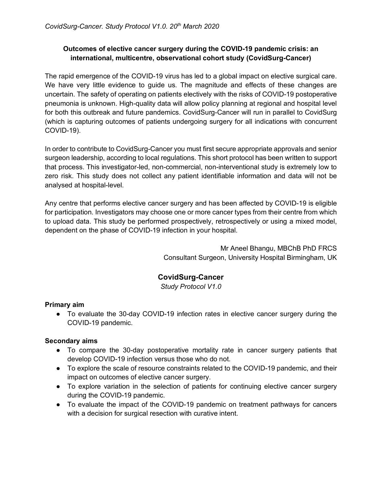# **Outcomes of elective cancer surgery during the COVID-19 pandemic crisis: an international, multicentre, observational cohort study (CovidSurg-Cancer)**

The rapid emergence of the COVID-19 virus has led to a global impact on elective surgical care. We have very little evidence to guide us. The magnitude and effects of these changes are uncertain. The safety of operating on patients electively with the risks of COVID-19 postoperative pneumonia is unknown. High-quality data will allow policy planning at regional and hospital level for both this outbreak and future pandemics. CovidSurg-Cancer will run in parallel to CovidSurg (which is capturing outcomes of patients undergoing surgery for all indications with concurrent COVID-19).

In order to contribute to CovidSurg-Cancer you must first secure appropriate approvals and senior surgeon leadership, according to local regulations. This short protocol has been written to support that process. This investigator-led, non-commercial, non-interventional study is extremely low to zero risk. This study does not collect any patient identifiable information and data will not be analysed at hospital-level.

Any centre that performs elective cancer surgery and has been affected by COVID-19 is eligible for participation. Investigators may choose one or more cancer types from their centre from which to upload data. This study be performed prospectively, retrospectively or using a mixed model, dependent on the phase of COVID-19 infection in your hospital.

> Mr Aneel Bhangu, MBChB PhD FRCS Consultant Surgeon, University Hospital Birmingham, UK

# **CovidSurg-Cancer**

*Study Protocol V1.0*

## **Primary aim**

• To evaluate the 30-day COVID-19 infection rates in elective cancer surgery during the COVID-19 pandemic.

## **Secondary aims**

- To compare the 30-day postoperative mortality rate in cancer surgery patients that develop COVID-19 infection versus those who do not.
- To explore the scale of resource constraints related to the COVID-19 pandemic, and their impact on outcomes of elective cancer surgery.
- To explore variation in the selection of patients for continuing elective cancer surgery during the COVID-19 pandemic.
- To evaluate the impact of the COVID-19 pandemic on treatment pathways for cancers with a decision for surgical resection with curative intent.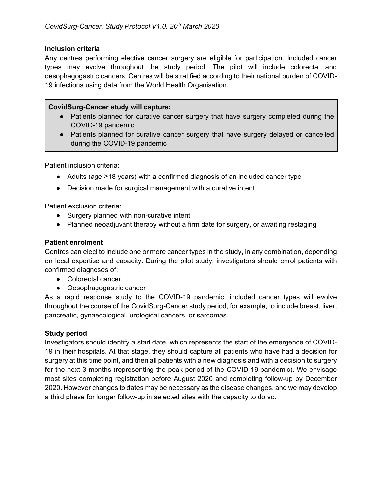## **Inclusion criteria**

Any centres performing elective cancer surgery are eligible for participation. Included cancer types may evolve throughout the study period. The pilot will include colorectal and oesophagogastric cancers. Centres will be stratified according to their national burden of COVID-19 infections using data from the World Health Organisation.

### **CovidSurg-Cancer study will capture:**

- Patients planned for curative cancer surgery that have surgery completed during the COVID-19 pandemic
- Patients planned for curative cancer surgery that have surgery delayed or cancelled during the COVID-19 pandemic

Patient inclusion criteria:

- Adults (age ≥18 years) with a confirmed diagnosis of an included cancer type
- Decision made for surgical management with a curative intent

Patient exclusion criteria:

- Surgery planned with non-curative intent
- Planned neoadjuvant therapy without a firm date for surgery, or awaiting restaging

## **Patient enrolment**

Centres can elect to include one or more cancer types in the study, in any combination, depending on local expertise and capacity. During the pilot study, investigators should enrol patients with confirmed diagnoses of:

- Colorectal cancer
- Oesophagogastric cancer

As a rapid response study to the COVID-19 pandemic, included cancer types will evolve throughout the course of the CovidSurg-Cancer study period, for example, to include breast, liver, pancreatic, gynaecological, urological cancers, or sarcomas.

## **Study period**

Investigators should identify a start date, which represents the start of the emergence of COVID-19 in their hospitals. At that stage, they should capture all patients who have had a decision for surgery at this time point, and then all patients with a new diagnosis and with a decision to surgery for the next 3 months (representing the peak period of the COVID-19 pandemic). We envisage most sites completing registration before August 2020 and completing follow-up by December 2020. However changes to dates may be necessary as the disease changes, and we may develop a third phase for longer follow-up in selected sites with the capacity to do so.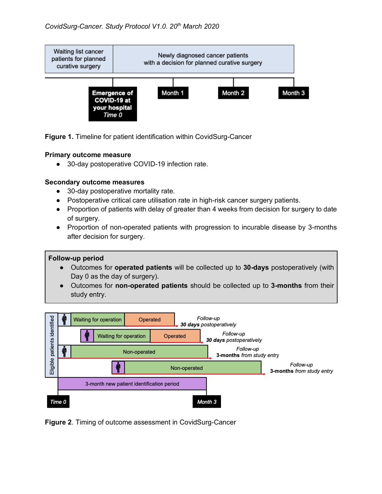

**Figure 1.** Timeline for patient identification within CovidSurg-Cancer

#### **Primary outcome measure**

● 30-day postoperative COVID-19 infection rate.

## **Secondary outcome measures**

- 30-day postoperative mortality rate.
- Postoperative critical care utilisation rate in high-risk cancer surgery patients.
- Proportion of patients with delay of greater than 4 weeks from decision for surgery to date of surgery.
- Proportion of non-operated patients with progression to incurable disease by 3-months after decision for surgery.

#### **Follow-up period**

- Outcomes for **operated patients** will be collected up to **30-days** postoperatively (with Day 0 as the day of surgery).
- Outcomes for **non-operated patients** should be collected up to **3-months** from their study entry.



**Figure 2**. Timing of outcome assessment in CovidSurg-Cancer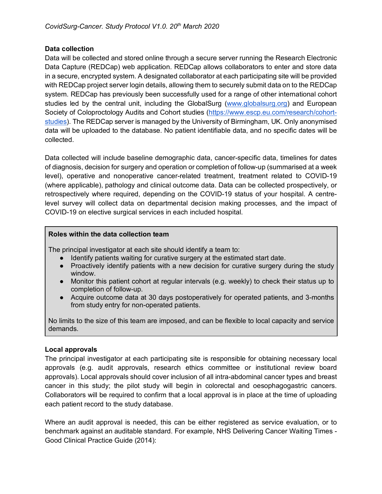#### **Data collection**

Data will be collected and stored online through a secure server running the Research Electronic Data Capture (REDCap) web application. REDCap allows collaborators to enter and store data in a secure, encrypted system. A designated collaborator at each participating site will be provided with REDCap project server login details, allowing them to securely submit data on to the REDCap system. REDCap has previously been successfully used for a range of other international cohort studies led by the central unit, including the GlobalSurg (www.globalsurg.org) and European Society of Coloproctology Audits and Cohort studies (https://www.escp.eu.com/research/cohortstudies). The REDCap server is managed by the University of Birmingham, UK. Only anonymised data will be uploaded to the database. No patient identifiable data, and no specific dates will be collected.

Data collected will include baseline demographic data, cancer-specific data, timelines for dates of diagnosis, decision for surgery and operation or completion of follow-up (summarised at a week level), operative and nonoperative cancer-related treatment, treatment related to COVID-19 (where applicable), pathology and clinical outcome data. Data can be collected prospectively, or retrospectively where required, depending on the COVID-19 status of your hospital. A centrelevel survey will collect data on departmental decision making processes, and the impact of COVID-19 on elective surgical services in each included hospital.

## **Roles within the data collection team**

The principal investigator at each site should identify a team to:

- Identify patients waiting for curative surgery at the estimated start date.
- Proactively identify patients with a new decision for curative surgery during the study window.
- Monitor this patient cohort at regular intervals (e.g. weekly) to check their status up to completion of follow-up.
- Acquire outcome data at 30 days postoperatively for operated patients, and 3-months from study entry for non-operated patients.

No limits to the size of this team are imposed, and can be flexible to local capacity and service demands.

#### **Local approvals**

The principal investigator at each participating site is responsible for obtaining necessary local approvals (e.g. audit approvals, research ethics committee or institutional review board approvals). Local approvals should cover inclusion of all intra-abdominal cancer types and breast cancer in this study; the pilot study will begin in colorectal and oesophagogastric cancers. Collaborators will be required to confirm that a local approval is in place at the time of uploading each patient record to the study database.

Where an audit approval is needed, this can be either registered as service evaluation, or to benchmark against an auditable standard. For example, NHS Delivering Cancer Waiting Times - Good Clinical Practice Guide (2014):